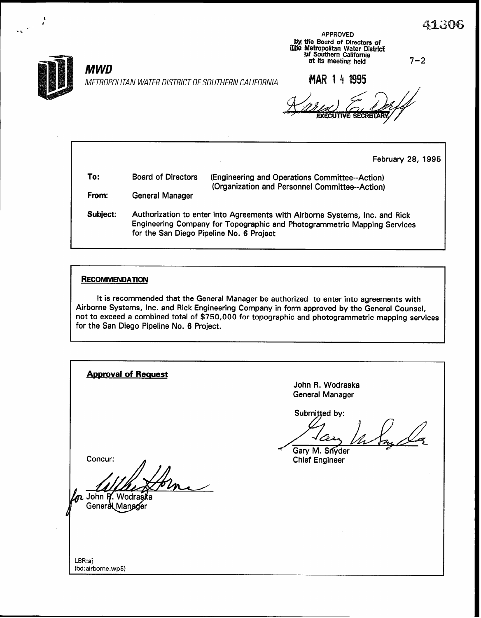

**MWD** 

METROPOLITAN WATER DISTRICT OF SOUTHERN CALIFORNIA

APPROVED by the Board of Directors of iline Metropolitan Water District<br>5 Southern California<br>at its meeting held at its meeting held

MAR 1 4 1995

**EXECUTIVE** 

February 28, 1995

| To:      | <b>Board of Directors</b> | (Engineering and Operations Committee--Action)<br>(Organization and Personnel Committee--Action) |
|----------|---------------------------|--------------------------------------------------------------------------------------------------|
| From:    | <b>General Manager</b>    |                                                                                                  |
| Subiect: |                           | Authorization to enter into Agreements with Airborne Systems, Inc. and Rick                      |

Engineering Company for Topographic and Photogrammetric Mapping Services for the San Diego Pipeline No. 6 Project

#### **RECOMMENDATION**

It is recommended that the General Manager be authorized to enter into agreements with Airborne Systems, Inc. and Rick Engineering Company in form approved by the General Counsel, not to exceed a combined total of \$750,000 for topographic and photogrammetric mapping services for the San Diego Pipeline No. 6 Project.

| <b>Approval of Request</b>                     |                                                          |
|------------------------------------------------|----------------------------------------------------------|
|                                                | John R. Wodraska<br><b>General Manager</b>               |
| Concur:<br>John P. Wodraska<br>General Manager | Submitted by:<br>Gary M. Snyder<br><b>Chief Engineer</b> |
| LBR:aj<br>(bd:airborne.wp5)                    |                                                          |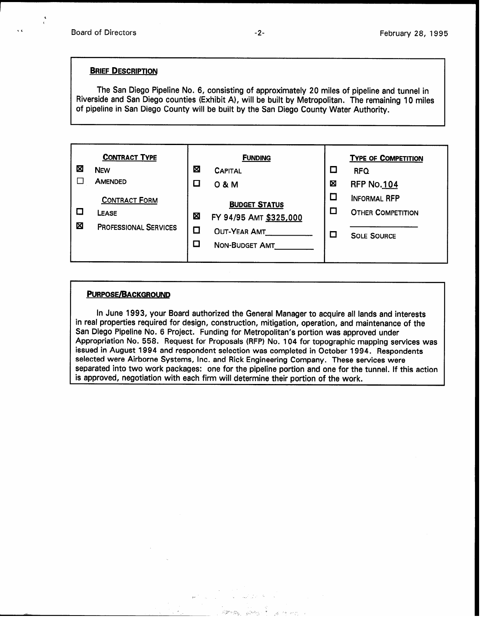#### **BRIEF DESCRIPTION**

The San Diego Pipeline No. 6, consisting of approximately 20 miles of pipeline and tunnel in Riverside and San Diego counties (Exhibit A), will be built by Metropolitan. The remaining 10 miles of pipeline in San Diego County will be built by the San Diego County Water Authority.



#### PURPOSE/BACKGROUND

In June 1993, your Board authorized the General Manager to acquire all lands and interests in real properties required for design, construction, mitigation, operation, and maintenance of the San Diego Pipeline No. 6 Project. Funding for Metropolitan's portion was approved under Appropriation No. 558. Request for Proposals (RFP) No. 104 for topographic mapping services was issued in August 1994 and respondent selection was completed in October 1994. Respondents selected were Airborne Systems, Inc. and Rick Engineering Company. These services were separated into two work packages: one for the pipeline portion and one for the tunnel. If this action is approved, negotiation with each firm will determine their portion of the work.

 $\mathbb{R}^{n}$  .  $\mathbb{R}^{n}$  .  $\mathbb{R}^{n}$  ,  $\mathbb{R}^{n}$  ,  $\mathbb{R}^{n}$  ,  $\mathbb{R}^{n}$  ,  $\mathbb{R}^{n}$  ,  $\mathbb{R}^{n}$  ,  $\mathbb{R}^{n}$  ,  $\mathbb{R}^{n}$  ,  $\mathbb{R}^{n}$ 

na nashrida<br>Manazarta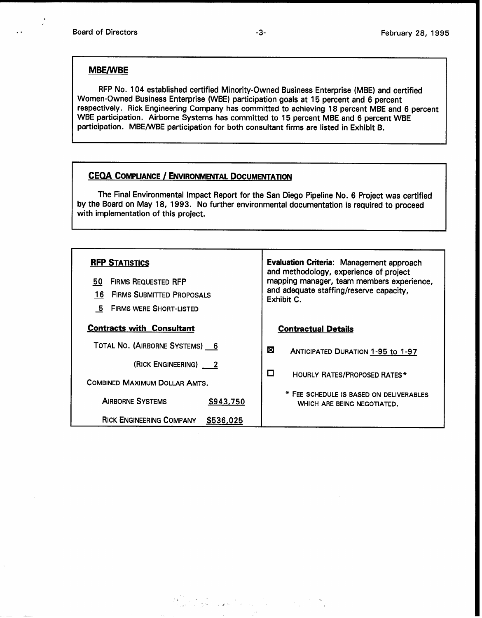### MBE/WBE

RFP No. 104 established certified Minority-Owned Business Enterprise (MBE) and certified Women-Owned Business Enterprise (WBE) participation goals at 15 percent and 6 percent respectively. Rick Engineering Company has committed to achieving 18 percent MBE and 6 percent WBE participation. Airborne Systems has committed to 15 percent MBE and 6 percent WBE participation. MBE/WBE participation for both consultant firms are listed in Exhibit B.

## CEQA COMPLIANCE / ENVIRONMENTAL DOCUMENTATION

The Final Environmental Impact Report for the San Diego Pipeline No. 6 Project was certified by the Board on May 18, 1993. No further environmental documentation is required to proceed with implementation of this project.

| <b>RFP STATISTICS</b><br><b>FIRMS REQUESTED RFP</b><br>50<br><b>FIRMS SUBMITTED PROPOSALS</b><br>16<br><b>FIRMS WERE SHORT-LISTED</b><br>-5 | Evaluation Criteria: Management approach<br>and methodology, experience of project<br>mapping manager, team members experience,<br>and adequate staffing/reserve capacity,<br>Exhibit C. |  |  |  |
|---------------------------------------------------------------------------------------------------------------------------------------------|------------------------------------------------------------------------------------------------------------------------------------------------------------------------------------------|--|--|--|
| <b>Contracts with Consultant</b>                                                                                                            | <b>Contractual Details</b>                                                                                                                                                               |  |  |  |
| TOTAL NO. (AIRBORNE SYSTEMS) 6                                                                                                              | ⊠<br>ANTICIPATED DURATION 1-95 to 1-97                                                                                                                                                   |  |  |  |
| (RICK ENGINEERING) 2                                                                                                                        |                                                                                                                                                                                          |  |  |  |
| COMBINED MAXIMUM DOLLAR AMTS.                                                                                                               | □<br><b>HOURLY RATES/PROPOSED RATES*</b>                                                                                                                                                 |  |  |  |
| <b>AIRBORNE SYSTEMS</b><br>\$943,750                                                                                                        | * FEE SCHEDULE IS BASED ON DELIVERABLES<br>WHICH ARE BEING NEGOTIATED.                                                                                                                   |  |  |  |
| <b>RICK ENGINEERING COMPANY</b><br>\$536,025                                                                                                |                                                                                                                                                                                          |  |  |  |

ina ang pangalangan.<br>1947 - The Hotel Andrea ang pangalangan na pangalangan ng pangalangan ng pangalangan na pangalangan ng pangala<br>1950-1964 - Pangalangan ng pangalangan na pangalangan na pangalangan na pangalangan na pan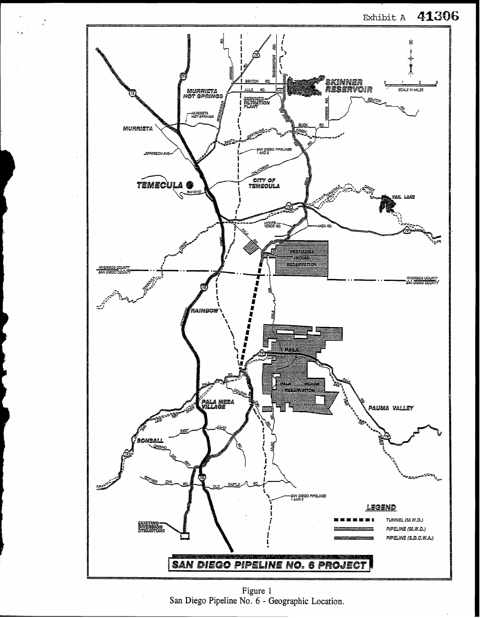41306 Exhibit A



Figure 1 San Diego Pipeline No. 6 - Geographic Location.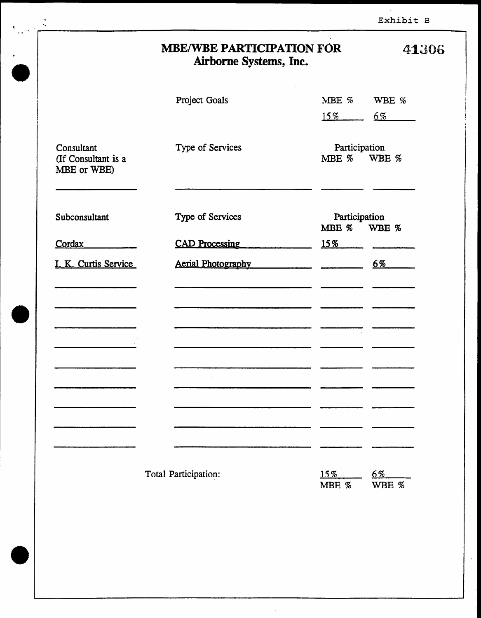| Exhibit B |  |
|-----------|--|
|-----------|--|

 $\sim$ 

|                                                  | <b>MBE/WBE PARTICIPATION FOR</b><br>Airborne Systems, Inc. | 41306                     |                              |                |
|--------------------------------------------------|------------------------------------------------------------|---------------------------|------------------------------|----------------|
|                                                  | Project Goals                                              |                           | MBE %                        | WBE %          |
|                                                  |                                                            |                           | $15\%$                       | $6\%$          |
| Consultant<br>(If Consultant is a<br>MBE or WBE) | Type of Services                                           |                           | Participation<br>MBE % WBE % |                |
| Subconsultant                                    | Type of Services                                           |                           | Participation<br>MBE % WBE % |                |
| Cordax                                           |                                                            | <b>CAD Processing</b>     | $15\%$                       |                |
| I. K. Curtis Service                             |                                                            | <b>Aerial Photography</b> |                              | $6\%$          |
|                                                  |                                                            |                           |                              |                |
|                                                  |                                                            |                           |                              |                |
|                                                  |                                                            |                           |                              |                |
|                                                  |                                                            |                           |                              |                |
|                                                  | Total Participation:                                       |                           | 15%<br>MBE %                 | $6\%$<br>WBE % |

 $\sim$ 

 $\bar{\gamma}$ 

 $\frac{4}{3}$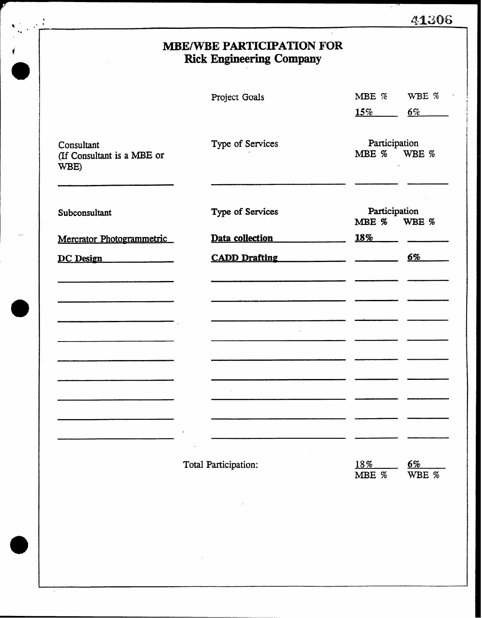|  |  | 41306 |
|--|--|-------|
|  |  |       |

# MBE/WBE PARTICIPATION FOR Rick Engineering Company

|                                                  | Project Goals        | MBE %                        | WBE %          |
|--------------------------------------------------|----------------------|------------------------------|----------------|
|                                                  |                      | $15\%$                       | $6\%$          |
| Consultant<br>(If Consultant is a MBE or<br>WBE) | Type of Services     | Participation<br>MBE % WBE % | $\alpha$       |
| Subconsultant                                    | Type of Services     | Participation<br>MBE %       | WBE %          |
| Mercrator Photogrammetric                        | Data collection      | <b>18%</b>                   |                |
| DC Design                                        | <b>CADD Drafting</b> |                              | $6\%$          |
|                                                  |                      |                              |                |
|                                                  |                      |                              |                |
|                                                  |                      |                              |                |
|                                                  | Total Participation: | 18%<br>MBE %                 | $6\%$<br>WBE % |